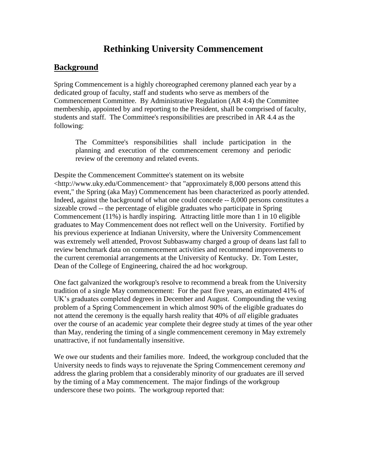## **Rethinking University Commencement**

## **Background**

Spring Commencement is a highly choreographed ceremony planned each year by a dedicated group of faculty, staff and students who serve as members of the Commencement Committee. By Administrative Regulation (AR 4:4) the Committee membership, appointed by and reporting to the President, shall be comprised of faculty, students and staff. The Committee's responsibilities are prescribed in AR 4.4 as the following:

The Committee's responsibilities shall include participation in the planning and execution of the commencement ceremony and periodic review of the ceremony and related events.

Despite the Commencement Committee's statement on its website <http://www.uky.edu/Commencement> that "approximately 8,000 persons attend this event," the Spring (aka May) Commencement has been characterized as poorly attended. Indeed, against the background of what one could concede -- 8,000 persons constitutes a sizeable crowd -- the percentage of eligible graduates who participate in Spring Commencement (11%) is hardly inspiring. Attracting little more than 1 in 10 eligible graduates to May Commencement does not reflect well on the University. Fortified by his previous experience at Indianan University, where the University Commencement was extremely well attended, Provost Subbaswamy charged a group of deans last fall to review benchmark data on commencement activities and recommend improvements to the current ceremonial arrangements at the University of Kentucky. Dr. Tom Lester, Dean of the College of Engineering, chaired the ad hoc workgroup.

One fact galvanized the workgroup's resolve to recommend a break from the University tradition of a single May commencement: For the past five years, an estimated 41% of UK's graduates completed degrees in December and August. Compounding the vexing problem of a Spring Commencement in which almost 90% of the eligible graduates do not attend the ceremony is the equally harsh reality that 40% of *all* eligible graduates over the course of an academic year complete their degree study at times of the year other than May, rendering the timing of a single commencement ceremony in May extremely unattractive, if not fundamentally insensitive.

We owe our students and their families more. Indeed, the workgroup concluded that the University needs to finds ways to rejuvenate the Spring Commencement ceremony *and* address the glaring problem that a considerably minority of our graduates are ill served by the timing of a May commencement. The major findings of the workgroup underscore these two points. The workgroup reported that: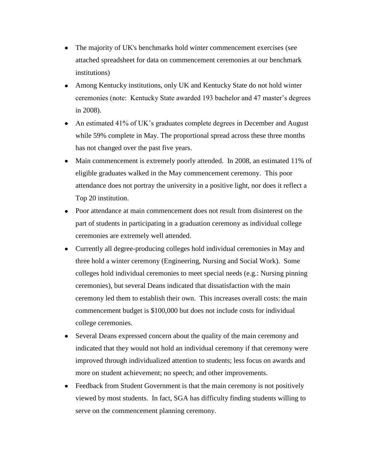- The majority of UK's benchmarks hold winter commencement exercises (see attached spreadsheet for data on commencement ceremonies at our benchmark institutions)
- Among Kentucky institutions, only UK and Kentucky State do not hold winter ceremonies (note: Kentucky State awarded 193 bachelor and 47 master's degrees in 2008).
- An estimated 41% of UK's graduates complete degrees in December and August while 59% complete in May. The proportional spread across these three months has not changed over the past five years.
- Main commencement is extremely poorly attended. In 2008, an estimated 11% of eligible graduates walked in the May commencement ceremony. This poor attendance does not portray the university in a positive light, nor does it reflect a Top 20 institution.
- Poor attendance at main commencement does not result from disinterest on the part of students in participating in a graduation ceremony as individual college ceremonies are extremely well attended.
- Currently all degree-producing colleges hold individual ceremonies in May and three hold a winter ceremony (Engineering, Nursing and Social Work). Some colleges hold individual ceremonies to meet special needs (e.g.: Nursing pinning ceremonies), but several Deans indicated that dissatisfaction with the main ceremony led them to establish their own. This increases overall costs: the main commencement budget is \$100,000 but does not include costs for individual college ceremonies.
- Several Deans expressed concern about the quality of the main ceremony and  $\bullet$ indicated that they would not hold an individual ceremony if that ceremony were improved through individualized attention to students; less focus on awards and more on student achievement; no speech; and other improvements.
- Feedback from Student Government is that the main ceremony is not positively viewed by most students. In fact, SGA has difficulty finding students willing to serve on the commencement planning ceremony.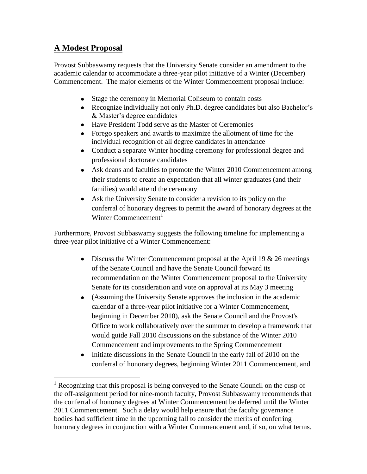## **A Modest Proposal**

 $\overline{a}$ 

Provost Subbaswamy requests that the University Senate consider an amendment to the academic calendar to accommodate a three-year pilot initiative of a Winter (December) Commencement. The major elements of the Winter Commencement proposal include:

- Stage the ceremony in Memorial Coliseum to contain costs
- Recognize individually not only Ph.D. degree candidates but also Bachelor's & Master's degree candidates
- Have President Todd serve as the Master of Ceremonies
- Forego speakers and awards to maximize the allotment of time for the individual recognition of all degree candidates in attendance
- Conduct a separate Winter hooding ceremony for professional degree and professional doctorate candidates
- Ask deans and faculties to promote the Winter 2010 Commencement among their students to create an expectation that all winter graduates (and their families) would attend the ceremony
- Ask the University Senate to consider a revision to its policy on the conferral of honorary degrees to permit the award of honorary degrees at the Winter Commencement<sup>1</sup>

Furthermore, Provost Subbaswamy suggests the following timeline for implementing a three-year pilot initiative of a Winter Commencement:

- $\bullet$  Discuss the Winter Commencement proposal at the April 19 & 26 meetings of the Senate Council and have the Senate Council forward its recommendation on the Winter Commencement proposal to the University Senate for its consideration and vote on approval at its May 3 meeting
- (Assuming the University Senate approves the inclusion in the academic calendar of a three-year pilot initiative for a Winter Commencement, beginning in December 2010), ask the Senate Council and the Provost's Office to work collaboratively over the summer to develop a framework that would guide Fall 2010 discussions on the substance of the Winter 2010 Commencement and improvements to the Spring Commencement
- Initiate discussions in the Senate Council in the early fall of 2010 on the conferral of honorary degrees, beginning Winter 2011 Commencement, and

 $<sup>1</sup>$  Recognizing that this proposal is being conveyed to the Senate Council on the cusp of</sup> the off-assignment period for nine-month faculty, Provost Subbaswamy recommends that the conferral of honorary degrees at Winter Commencement be deferred until the Winter 2011 Commencement. Such a delay would help ensure that the faculty governance bodies had sufficient time in the upcoming fall to consider the merits of conferring honorary degrees in conjunction with a Winter Commencement and, if so, on what terms.